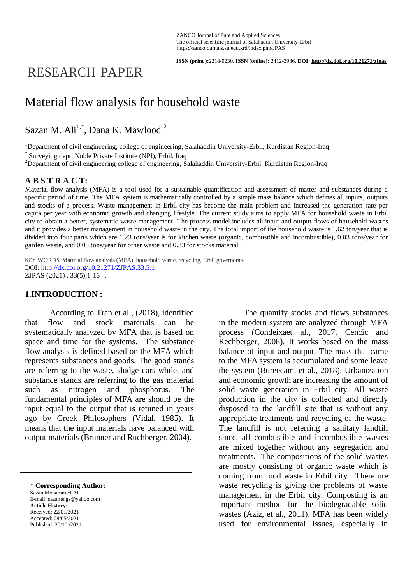**ISSN (print ):**2218-0230**, ISSN (online):** 2412-3986**, DOI: http://dx.doi.org/10.21271/zjpas**

# RESEARCH PAPER

## Material flow analysis for household waste

Sazan M. Ali<sup>1,\*</sup>, Dana K. Mawlood<sup>2</sup>

<sup>1</sup>Department of civil engineering, college of engineering, Salahaddin University-Erbil, Kurdistan Region-Iraq \* Surveying dept. Noble Private Institute (NPI), Erbil. Iraq

<sup>2</sup>Department of civil engineering college of engineering, Salahaddin University-Erbil, Kurdistan Region-Iraq

#### **A B S T R A C T:**

Material flow analysis (MFA) is a tool used for a sustainable quantification and assessment of matter and substances during a specific period of time. The MFA system is mathematically controlled by a simple mass balance which defines all inputs, outputs and stocks of a process. Waste management in Erbil city has become the main problem and increased the generation rate per capita per year with economic growth and changing lifestyle. The current study aims to apply MFA for household waste in Erbil city to obtain a better, systematic waste management. The process model includes all input and output flows of household wastes and it provides a better management in household waste in the city. The total import of the household waste is 1.62 ton/year that is divided into four parts which are 1.23 tons/year is for kitchen waste (organic, combustible and incombustible), 0.03 tons/year for garden waste, and 0.03 tons/year for other waste and 0.33 for stocks material.

KEY WORDS: Material flow analysis (MFA), household waste, recycling, Erbil governorate DOI:<http://dx.doi.org/10.21271/ZJPAS.33.5.1> ZJPAS (2021) , 33(5);1-16 .

#### **1.INTRODUCTION :**

According to Tran et al., (2018), identified that flow and stock materials can be systematically analyzed by MFA that is based on space and time for the systems. The substance flow analysis is defined based on the MFA which represents substances and goods. The good stands are referring to the waste, sludge cars while, and substance stands are referring to the gas material such as nitrogen and phosphorus. The fundamental principles of MFA are should be the input equal to the output that is retuned in years ago by Greek Philosophers (Vidal, 1985). It means that the input materials have balanced with output materials (Brunner and Ruchberger, 2004).

\* **Corresponding Author:** Sazan Mohammed Ali E-mail: sazanengs@yahoo.com **Article History:** Received: 22/01/2021 Accepted: 08/05/2021 Published: 20/10 /2021

The quantify stocks and flows substances in the modern system are analyzed through MFA process (Condeixaet al., 2017, Cencic and Rechberger, 2008). It works based on the mass balance of input and output. The mass that came to the MFA system is accumulated and some leave the system (Bureecam, et al., 2018). Urbanization and economic growth are increasing the amount of solid waste generation in Erbil city. All waste production in the city is collected and directly disposed to the landfill site that is without any appropriate treatments and recycling of the waste. The landfill is not referring a sanitary landfill since, all combustible and incombustible wastes are mixed together without any segregation and treatments. The compositions of the solid wastes are mostly consisting of organic waste which is coming from food waste in Erbil city. Therefore waste recycling is giving the problems of waste management in the Erbil city. Composting is an important method for the biodegradable solid wastes (Aziz, et al., 2011). MFA has been widely used for environmental issues, especially in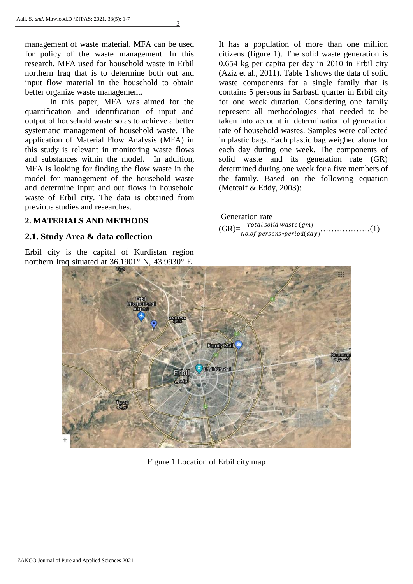management of waste material. MFA can be used for policy of the waste management. In this research, MFA used for household waste in Erbil northern Iraq that is to determine both out and input flow material in the household to obtain better organize waste management.

2

In this paper, MFA was aimed for the quantification and identification of input and output of household waste so as to achieve a better systematic management of household waste. The application of Material Flow Analysis (MFA) in this study is relevant in monitoring waste flows and substances within the model. In addition, MFA is looking for finding the flow waste in the model for management of the household waste and determine input and out flows in household waste of Erbil city. The data is obtained from previous studies and researches.

#### **2. MATERIALS AND METHODS**

#### **2.1. Study Area & data collection**

Erbil city is the capital of Kurdistan region northern Iraq situated at 36.1901° N, 43.9930° E.

It has a population of more than one million citizens (figure 1). The solid waste generation is 0.654 kg per capita per day in 2010 in Erbil city (Aziz et al., 2011). Table 1 shows the data of solid waste components for a single family that is contains 5 persons in Sarbasti quarter in Erbil city for one week duration. Considering one family represent all methodologies that needed to be taken into account in determination of generation rate of household wastes. Samples were collected in plastic bags. Each plastic bag weighed alone for each day during one week. The components of solid waste and its generation rate (GR) determined during one week for a five members of the family. Based on the following equation (Metcalf  $& Eddy, 2003$ ):

|  | <b>Generation rate</b> |  |
|--|------------------------|--|
|  |                        |  |
|  |                        |  |



Figure 1 Location of Erbil city map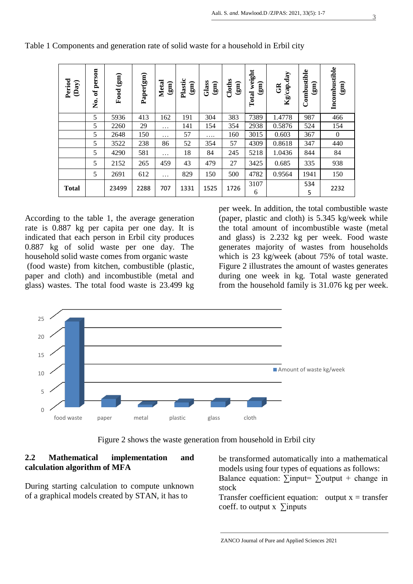| Period<br>(Day) | person<br>ಕ<br>ż | $\binom{2}{3}$<br>Food | Paper(gm) | <b>Metal</b><br>$\widehat{g}$ | Plastic<br>(gm) | Glass<br>$\binom{2}{3}$ | Cloths<br>$\binom{2}{3}$ | weight<br>$\widehat{\mathbf{g}}$<br>Total | Kg/cap.day<br>$\mathfrak{B}$ | Combustible<br>$\widehat{\mathbf{g}}$ | Incombustible<br>$\widehat{\mathbf{g}}$ |
|-----------------|------------------|------------------------|-----------|-------------------------------|-----------------|-------------------------|--------------------------|-------------------------------------------|------------------------------|---------------------------------------|-----------------------------------------|
|                 | 5                | 5936                   | 413       | 162                           | 191             | 304                     | 383                      | 7389                                      | 1.4778                       | 987                                   | 466                                     |
|                 | 5                | 2260                   | 29        | .                             | 141             | 154                     | 354                      | 2938                                      | 0.5876                       | 524                                   | 154                                     |
|                 | 5                | 2648                   | 150       | .                             | 57              | .                       | 160                      | 3015                                      | 0.603                        | 367                                   | $\theta$                                |
|                 | 5                | 3522                   | 238       | 86                            | 52              | 354                     | 57                       | 4309                                      | 0.8618                       | 347                                   | 440                                     |
|                 | 5                | 4290                   | 581       | $\ddots$                      | 18              | 84                      | 245                      | 5218                                      | 1.0436                       | 844                                   | 84                                      |
|                 | 5                | 2152                   | 265       | 459                           | 43              | 479                     | 27                       | 3425                                      | 0.685                        | 335                                   | 938                                     |
|                 | 5                | 2691                   | 612       | $\cdots$                      | 829             | 150                     | 500                      | 4782                                      | 0.9564                       | 1941                                  | 150                                     |
| <b>Total</b>    |                  | 23499                  | 2288      | 707                           | 1331            | 1525                    | 1726                     | 3107<br>6                                 |                              | 534<br>5                              | 2232                                    |

Table 1 Components and generation rate of solid waste for a household in Erbil city

According to the table 1, the average generation rate is 0.887 kg per capita per one day. It is indicated that each person in Erbil city produces 0.887 kg of solid waste per one day. The household solid waste comes from organic waste (food waste) from kitchen, combustible (plastic, paper and cloth) and incombustible (metal and glass) wastes. The total food waste is 23.499 kg

per week. In addition, the total combustible waste (paper, plastic and cloth) is 5.345 kg/week while the total amount of incombustible waste (metal and glass) is 2.232 kg per week. Food waste generates majority of wastes from households which is 23 kg/week (about 75% of total waste. Figure 2 illustrates the amount of wastes generates during one week in kg. Total waste generated from the household family is 31.076 kg per week.



Figure 2 shows the waste generation from household in Erbil city

## **2.2 Mathematical implementation and calculation algorithm of MFA**

During starting calculation to compute unknown of a graphical models created by STAN, it has to

be transformed automatically into a mathematical models using four types of equations as follows: Balance equation:  $\sum$ input=  $\sum$ output + change in stock

Transfer coefficient equation: output  $x =$  transfer coeff. to output x  $\sum$ inputs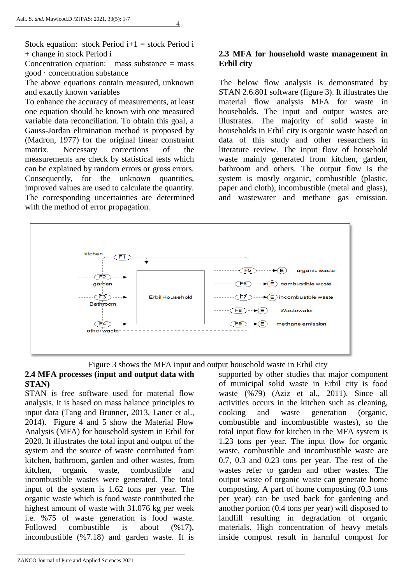Stock equation: stock Period  $i+1$  = stock Period i + change in stock Period i

Concentration equation: mass substance  $=$  mass good · concentration substance

The above equations contain measured, unknown and exactly known variables

To enhance the accuracy of measurements, at least one equation should be known with one measured variable data reconciliation. To obtain this goal, a Gauss-Jordan elimination method is proposed by (Madron, 1977) for the original linear constraint matrix. Necessary corrections of the measurements are check by statistical tests which can be explained by random errors or gross errors. Consequently, for the unknown quantities, improved values are used to calculate the quantity. The corresponding uncertainties are determined with the method of error propagation.

## **2.3 MFA for household waste management in Erbil city**

The below flow analysis is demonstrated by STAN 2.6.801 software (figure 3). It illustrates the material flow analysis MFA for waste in households. The input and output wastes are illustrates. The majority of solid waste in households in Erbil city is organic waste based on data of this study and other researchers in literature review. The input flow of household waste mainly generated from kitchen, garden, bathroom and others. The output flow is the system is mostly organic, combustible (plastic, paper and cloth), incombustible (metal and glass), and wastewater and methane gas emission.



Figure 3 shows the MFA input and output household waste in Erbil city

#### **2.4 MFA processes (input and output data with STAN)**

STAN is free software used for material flow analysis. It is based on mass balance principles to input data (Tang and Brunner, 2013, Laner et al., 2014). Figure 4 and 5 show the Material Flow Analysis (MFA) for household system in Erbil for 2020. It illustrates the total input and output of the system and the source of waste contributed from kitchen, bathroom, garden and other wastes, from kitchen, organic waste, combustible and incombustible wastes were generated. The total input of the system is 1.62 tons per year. The organic waste which is food waste contributed the highest amount of waste with 31.076 kg per week i.e. %75 of waste generation is food waste. Followed combustible is about  $(\frac{6}{17})$ , incombustible (%7.18) and garden waste. It is

supported by other studies that major component of municipal solid waste in Erbil city is food waste (%79) (Aziz et al., 2011). Since all activities occurs in the kitchen such as cleaning, cooking and waste generation (organic, combustible and incombustible wastes), so the total input flow for kitchen in the MFA system is 1.23 tons per year. The input flow for organic waste, combustible and incombustible waste are 0.7, 0.3 and 0.23 tons per year. The rest of the wastes refer to garden and other wastes. The output waste of organic waste can generate home composting. A part of home composting (0.3 tons per year) can be used back for gardening and another portion (0.4 tons per year) will disposed to landfill resulting in degradation of organic materials. High concentration of heavy metals inside compost result in harmful compost for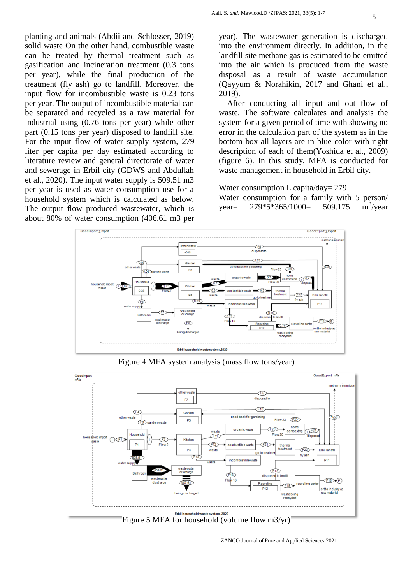planting and animals (Abdii and Schlosser, 2019) solid waste On the other hand, combustible waste can be treated by thermal treatment such as gasification and incineration treatment (0.3 tons per year), while the final production of the treatment (fly ash) go to landfill. Moreover, the input flow for incombustible waste is 0.23 tons per year. The output of incombustible material can be separated and recycled as a raw material for industrial using (0.76 tons per year) while other part (0.15 tons per year) disposed to landfill site. For the input flow of water supply system, 279 liter per capita per day estimated according to literature review and general directorate of water and sewerage in Erbil city (GDWS and Abdullah et al., 2020). The input water supply is 509.51 m3 per year is used as water consumption use for a household system which is calculated as below. The output flow produced wastewater, which is about 80% of water consumption (406.61 m3 per

year). The wastewater generation is discharged into the environment directly. In addition, in the landfill site methane gas is estimated to be emitted into the air which is produced from the waste disposal as a result of waste accumulation (Qayyum & Norahikin, 2017 and Ghani et al., 2019).

 After conducting all input and out flow of waste. The software calculates and analysis the system for a given period of time with showing no error in the calculation part of the system as in the bottom box all layers are in blue color with right description of each of them(Yoshida et al., 2009) (figure 6). In this study, MFA is conducted for waste management in household in Erbil city.

#### Water consumption L capita/day= 279

Water consumption for a family with 5 person/ year=  $279*5*365/1000= 509.175$  $m^3$ /year



Figure 4 MFA system analysis (mass flow tons/year)



Figure 5 MFA for household (volume flow m3/yr)

ZANCO Journal of Pure and Applied Sciences 2021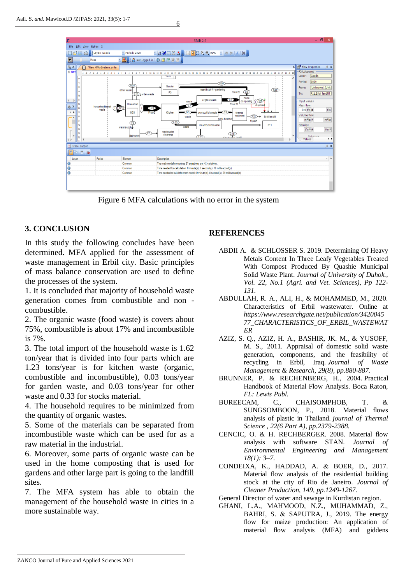

6

Figure 6 MFA calculations with no error in the system

## **3. CONCLUSION**

In this study the following concludes have been determined. MFA applied for the assessment of waste management in Erbil city. Basic principles of mass balance conservation are used to define the processes of the system.

1. It is concluded that majority of household waste generation comes from combustible and non combustible.

2. The organic waste (food waste) is covers about 75%, combustible is about 17% and incombustible is 7%.

3. The total import of the household waste is 1.62 ton/year that is divided into four parts which are 1.23 tons/year is for kitchen waste (organic, combustible and incombustible), 0.03 tons/year for garden waste, and 0.03 tons/year for other waste and 0.33 for stocks material.

4. The household requires to be minimized from the quantity of organic wastes.

5. Some of the materials can be separated from incombustible waste which can be used for as a raw material in the industrial.

6. Moreover, some parts of organic waste can be used in the home composting that is used for gardens and other large part is going to the landfill sites.

7. The MFA system has able to obtain the management of the household waste in cities in a more sustainable way.

## **REFERENCES**

- ABDII A. & SCHLOSSER S. 2019. Determining Of Heavy Metals Content In Three Leafy Vegetables Treated With Compost Produced By Quashie Municipal Solid Waste Plant. *Journal of University of Duhok., Vol. 22, No.1 (Agri. and Vet. Sciences), Pp 122- 131.*
- ABDULLAH, R. A., ALI, H., & MOHAMMED, M., 2020. Characteristics of Erbil wastewater. Online at *https://www.researchgate.net/publication/3420045 77\_CHARACTERISTICS\_OF\_ERBIL\_WASTEWAT ER*
- AZIZ, S. Q., AZIZ, H. A., BASHIR, JK. M., & YUSOFF, M. S., 2011. Appraisal of domestic solid waste generation, components, and the feasibility of recycling in Erbil, Iraq. *Journal of Waste Management & Research, 29(8), pp.880-887.*
- BRUNNER, P. & RECHENBERG, H., 2004. Practical Handbook of Material Flow Analysis. Boca Raton, *FL: Lewis Publ.*<br>BUREECAM, C.,
- C., CHAISOMPHOB, T. & SUNGSOMBOON, P., 2018. Material flows analysis of plastic in Thailand. *journal of Thermal Science , 22(6 Part A), pp.2379-2388.*
- CENCIC, O. & H. RECHBERGER. 2008. Material flow analysis with software STAN. *Journal of Environmental Engineering and Management 18(1): 3–7.*
- CONDEIXA, K., HADDAD, A. & BOER, D., 2017. Material flow analysis of the residential building stock at the city of Rio de Janeiro. *Journal of Cleaner Production, 149, pp.1249-1267.*
- General Director of water and sewage in Kurdistan region.
- GHANI, L.A., MAHMOOD, N.Z., MUHAMMAD, Z., BAHRI, S. & SAPUTRA, J., 2019. The energy flow for maize production: An application of material flow analysis (MFA) and giddens